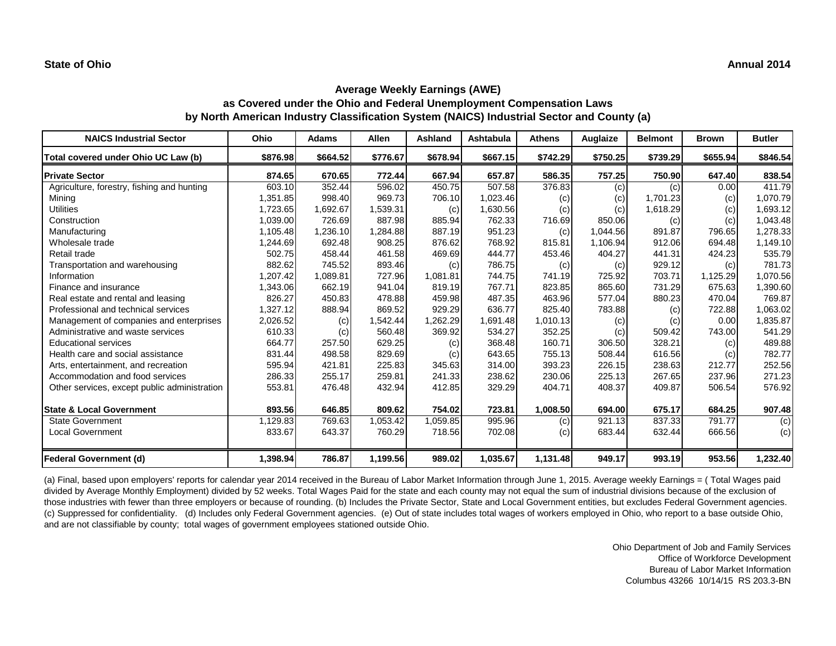#### **State of Ohio Annual 2014**

# **Average Weekly Earnings (AWE) as Covered under the Ohio and Federal Unemployment Compensation Laws by North American Industry Classification System (NAICS) Industrial Sector and County (a)**

| <b>NAICS Industrial Sector</b>               | Ohio     | <b>Adams</b> | <b>Allen</b> | <b>Ashland</b> | Ashtabula | <b>Athens</b> | Auglaize | <b>Belmont</b> | <b>Brown</b> | <b>Butler</b> |
|----------------------------------------------|----------|--------------|--------------|----------------|-----------|---------------|----------|----------------|--------------|---------------|
| Total covered under Ohio UC Law (b)          | \$876.98 | \$664.52     | \$776.67     | \$678.94       | \$667.15  | \$742.29      | \$750.25 | \$739.29       | \$655.94     | \$846.54      |
| <b>Private Sector</b>                        | 874.65   | 670.65       | 772.44       | 667.94         | 657.87    | 586.35        | 757.25   | 750.90         | 647.40       | 838.54        |
| Agriculture, forestry, fishing and hunting   | 603.10   | 352.44       | 596.02       | 450.75         | 507.58    | 376.83        | (c)      | (c)            | 0.00         | 411.79        |
| Mining                                       | 1,351.85 | 998.40       | 969.73       | 706.10         | 1,023.46  | (c)           | (c)      | 1.701.23       | (c)          | 1,070.79      |
| <b>Utilities</b>                             | 1,723.65 | 1,692.67     | 1,539.31     | (c)            | 1,630.56  | (c)           | (c)      | 1,618.29       | (c)          | 1,693.12      |
| Construction                                 | 1,039.00 | 726.69       | 887.98       | 885.94         | 762.33    | 716.69        | 850.06   | (c)            | (c)          | 1,043.48      |
| Manufacturing                                | 1,105.48 | 1,236.10     | 1,284.88     | 887.19         | 951.23    | (c)           | 1,044.56 | 891.87         | 796.65       | 1,278.33      |
| Wholesale trade                              | 1,244.69 | 692.48       | 908.25       | 876.62         | 768.92    | 815.81        | 1,106.94 | 912.06         | 694.48       | 1,149.10      |
| Retail trade                                 | 502.75   | 458.44       | 461.58       | 469.69         | 444.77    | 453.46        | 404.27   | 441.31         | 424.23       | 535.79        |
| Transportation and warehousing               | 882.62   | 745.52       | 893.46       | (c)            | 786.75    | (c)           | (c)      | 929.12         | (c)          | 781.73        |
| Information                                  | 1,207.42 | 1,089.81     | 727.96       | 1,081.81       | 744.75    | 741.19        | 725.92   | 703.71         | 1,125.29     | 1,070.56      |
| Finance and insurance                        | 1,343.06 | 662.19       | 941.04       | 819.19         | 767.71    | 823.85        | 865.60   | 731.29         | 675.63       | 1,390.60      |
| Real estate and rental and leasing           | 826.27   | 450.83       | 478.88       | 459.98         | 487.35    | 463.96        | 577.04   | 880.23         | 470.04       | 769.87        |
| Professional and technical services          | 1,327.12 | 888.94       | 869.52       | 929.29         | 636.77    | 825.40        | 783.88   | (c)            | 722.88       | 1,063.02      |
| Management of companies and enterprises      | 2,026.52 | (c)          | 1,542.44     | 1,262.29       | 1,691.48  | 1,010.13      | (c)      | (c)            | 0.00         | 1,835.87      |
| Administrative and waste services            | 610.33   | (c)          | 560.48       | 369.92         | 534.27    | 352.25        | (c)      | 509.42         | 743.00       | 541.29        |
| <b>Educational services</b>                  | 664.77   | 257.50       | 629.25       | (c)            | 368.48    | 160.71        | 306.50   | 328.21         | (c)          | 489.88        |
| Health care and social assistance            | 831.44   | 498.58       | 829.69       | (c)            | 643.65    | 755.13        | 508.44   | 616.56         | (c)          | 782.77        |
| Arts, entertainment, and recreation          | 595.94   | 421.81       | 225.83       | 345.63         | 314.00    | 393.23        | 226.15   | 238.63         | 212.77       | 252.56        |
| Accommodation and food services              | 286.33   | 255.17       | 259.81       | 241.33         | 238.62    | 230.06        | 225.13   | 267.65         | 237.96       | 271.23        |
| Other services, except public administration | 553.81   | 476.48       | 432.94       | 412.85         | 329.29    | 404.71        | 408.37   | 409.87         | 506.54       | 576.92        |
| <b>State &amp; Local Government</b>          | 893.56   | 646.85       | 809.62       | 754.02         | 723.81    | 1,008.50      | 694.00   | 675.17         | 684.25       | 907.48        |
| <b>State Government</b>                      | 1,129.83 | 769.63       | 1,053.42     | 1,059.85       | 995.96    | (c)           | 921.13   | 837.33         | 791.77       | (c)           |
| Local Government                             | 833.67   | 643.37       | 760.29       | 718.56         | 702.08    | (c)           | 683.44   | 632.44         | 666.56       | (c)           |
| <b>Federal Government (d)</b>                | 1,398.94 | 786.87       | 1,199.56     | 989.02         | 1,035.67  | 1,131.48      | 949.17   | 993.19         | 953.56       | 1,232.40      |

(a) Final, based upon employers' reports for calendar year 2014 received in the Bureau of Labor Market Information through June 1, 2015. Average weekly Earnings = ( Total Wages paid divided by Average Monthly Employment) divided by 52 weeks. Total Wages Paid for the state and each county may not equal the sum of industrial divisions because of the exclusion of those industries with fewer than three employers or because of rounding. (b) Includes the Private Sector, State and Local Government entities, but excludes Federal Government agencies. (c) Suppressed for confidentiality. (d) Includes only Federal Government agencies. (e) Out of state includes total wages of workers employed in Ohio, who report to a base outside Ohio, and are not classifiable by county; total wages of government employees stationed outside Ohio.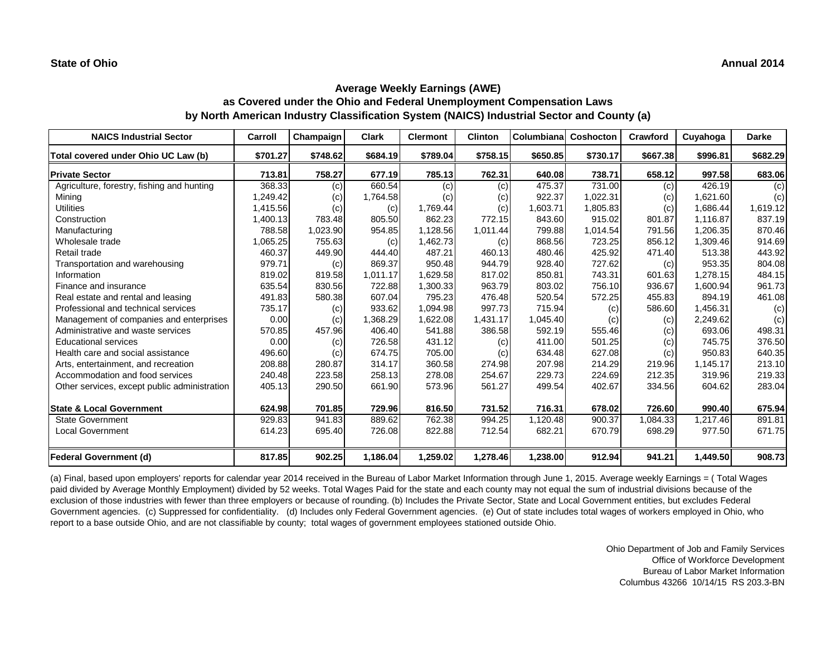| <b>NAICS Industrial Sector</b>               | Carroll  | Champaign | <b>Clark</b> | <b>Clermont</b> | <b>Clinton</b> | <b>Columbiana</b> | Coshocton | Crawford | Cuyahoga | <b>Darke</b> |
|----------------------------------------------|----------|-----------|--------------|-----------------|----------------|-------------------|-----------|----------|----------|--------------|
| Total covered under Ohio UC Law (b)          | \$701.27 | \$748.62  | \$684.19     | \$789.04        | \$758.15       | \$650.85          | \$730.17  | \$667.38 | \$996.81 | \$682.29     |
| <b>Private Sector</b>                        | 713.81   | 758.27    | 677.19       | 785.13          | 762.31         | 640.08            | 738.71    | 658.12   | 997.58   | 683.06       |
| Agriculture, forestry, fishing and hunting   | 368.33   | (c)       | 660.54       | (c)             | (c)            | 475.37            | 731.00    | (c)      | 426.19   | (c)          |
| Mining                                       | 1,249.42 | (c)       | 1,764.58     | (c)             | (c)            | 922.37            | 1,022.31  | (c)      | 1,621.60 | (c)          |
| <b>Utilities</b>                             | 1,415.56 | (c)       | (c)          | 1,769.44        | (c)            | 1,603.71          | 1,805.83  | (c)      | 1.686.44 | 1,619.12     |
| Construction                                 | 1,400.13 | 783.48    | 805.50       | 862.23          | 772.15         | 843.60            | 915.02    | 801.87   | 1,116.87 | 837.19       |
| Manufacturing                                | 788.58   | 1,023.90  | 954.85       | 1,128.56        | 1,011.44       | 799.88            | 1.014.54  | 791.56   | 1,206.35 | 870.46       |
| Wholesale trade                              | 1,065.25 | 755.63    | (c)          | 1,462.73        | (c)            | 868.56            | 723.25    | 856.12   | 1,309.46 | 914.69       |
| Retail trade                                 | 460.37   | 449.90    | 444.40       | 487.21          | 460.13         | 480.46            | 425.92    | 471.40   | 513.38   | 443.92       |
| Transportation and warehousing               | 979.71   | (c)       | 869.37       | 950.48          | 944.79         | 928.40            | 727.62    | (c)      | 953.35   | 804.08       |
| Information                                  | 819.02   | 819.58    | 1,011.17     | 1,629.58        | 817.02         | 850.81            | 743.31    | 601.63   | 1,278.15 | 484.15       |
| Finance and insurance                        | 635.54   | 830.56    | 722.88       | 1,300.33        | 963.79         | 803.02            | 756.10    | 936.67   | 1,600.94 | 961.73       |
| Real estate and rental and leasing           | 491.83   | 580.38    | 607.04       | 795.23          | 476.48         | 520.54            | 572.25    | 455.83   | 894.19   | 461.08       |
| Professional and technical services          | 735.17   | (c)       | 933.62       | 1,094.98        | 997.73         | 715.94            | (c)       | 586.60   | 1,456.31 | (c)          |
| Management of companies and enterprises      | 0.00     | (c)       | .368.29      | 1,622.08        | 1,431.17       | 1,045.40          | (c)       | (c)      | 2,249.62 | (c)          |
| Administrative and waste services            | 570.85   | 457.96    | 406.40       | 541.88          | 386.58         | 592.19            | 555.46    | (c)      | 693.06   | 498.31       |
| <b>Educational services</b>                  | 0.00     | (c)       | 726.58       | 431.12          | (c)            | 411.00            | 501.25    | (c)      | 745.75   | 376.50       |
| Health care and social assistance            | 496.60   | (c)       | 674.75       | 705.00          | (c)            | 634.48            | 627.08    | (c)      | 950.83   | 640.35       |
| Arts, entertainment, and recreation          | 208.88   | 280.87    | 314.17       | 360.58          | 274.98         | 207.98            | 214.29    | 219.96   | 1,145.17 | 213.10       |
| Accommodation and food services              | 240.48   | 223.58    | 258.13       | 278.08          | 254.67         | 229.73            | 224.69    | 212.35   | 319.96   | 219.33       |
| Other services, except public administration | 405.13   | 290.50    | 661.90       | 573.96          | 561.27         | 499.54            | 402.67    | 334.56   | 604.62   | 283.04       |
| <b>State &amp; Local Government</b>          | 624.98   | 701.85    | 729.96       | 816.50          | 731.52         | 716.31            | 678.02    | 726.60   | 990.40   | 675.94       |
| <b>State Government</b>                      | 929.83   | 941.83    | 889.62       | 762.38          | 994.25         | 1.120.48          | 900.37    | 1,084.33 | 1,217.46 | 891.81       |
| <b>Local Government</b>                      | 614.23   | 695.40    | 726.08       | 822.88          | 712.54         | 682.21            | 670.79    | 698.29   | 977.50   | 671.75       |
| <b>Federal Government (d)</b>                | 817.85   | 902.25    | 1,186.04     | 1,259.02        | 1,278.46       | 1,238.00          | 912.94    | 941.21   | 1,449.50 | 908.73       |

(a) Final, based upon employers' reports for calendar year 2014 received in the Bureau of Labor Market Information through June 1, 2015. Average weekly Earnings = ( Total Wages paid divided by Average Monthly Employment) divided by 52 weeks. Total Wages Paid for the state and each county may not equal the sum of industrial divisions because of the exclusion of those industries with fewer than three employers or because of rounding. (b) Includes the Private Sector, State and Local Government entities, but excludes Federal Government agencies. (c) Suppressed for confidentiality. (d) Includes only Federal Government agencies. (e) Out of state includes total wages of workers employed in Ohio, who report to a base outside Ohio, and are not classifiable by county; total wages of government employees stationed outside Ohio.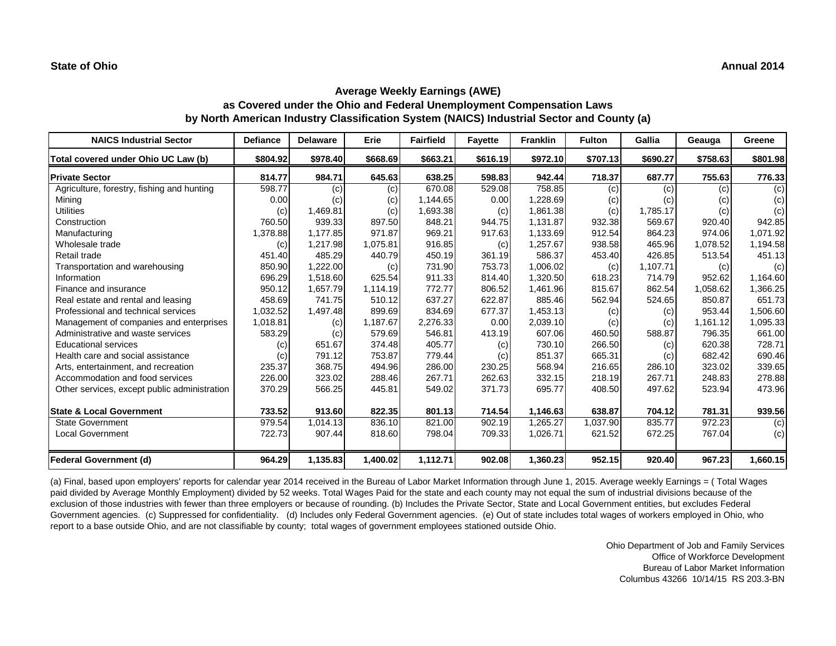| <b>NAICS Industrial Sector</b>               | <b>Defiance</b> | <b>Delaware</b> | Erie     | <b>Fairfield</b> | <b>Fayette</b> | <b>Franklin</b> | <b>Fulton</b> | Gallia   | Geauga   | Greene   |
|----------------------------------------------|-----------------|-----------------|----------|------------------|----------------|-----------------|---------------|----------|----------|----------|
| Total covered under Ohio UC Law (b)          | \$804.92        | \$978.40        | \$668.69 | \$663.21         | \$616.19       | \$972.10        | \$707.13      | \$690.27 | \$758.63 | \$801.98 |
| <b>Private Sector</b>                        | 814.77          | 984.71          | 645.63   | 638.25           | 598.83         | 942.44          | 718.37        | 687.77   | 755.63   | 776.33   |
| Agriculture, forestry, fishing and hunting   | 598.77          | (c)             | (c)      | 670.08           | 529.08         | 758.85          | (c)           | (c)      | (c)      | (c)      |
| Mining                                       | 0.00            | (c)             | (c)      | 1,144.65         | 0.00           | 1,228.69        | (c)           | (c)      | (c)      | (c)      |
| <b>Utilities</b>                             | (c)             | 1,469.81        | (c)      | 1,693.38         | (c)            | 1,861.38        | (c)           | 1,785.17 | (c)      | (c)      |
| Construction                                 | 760.50          | 939.33          | 897.50   | 848.21           | 944.75         | 1,131.87        | 932.38        | 569.67   | 920.40   | 942.85   |
| Manufacturing                                | 1,378.88        | 1,177.85        | 971.87   | 969.21           | 917.63         | 1,133.69        | 912.54        | 864.23   | 974.06   | 1,071.92 |
| Wholesale trade                              | (c)             | 1,217.98        | 1,075.81 | 916.85           | (c)            | 1,257.67        | 938.58        | 465.96   | 1,078.52 | 1,194.58 |
| Retail trade                                 | 451.40          | 485.29          | 440.79   | 450.19           | 361.19         | 586.37          | 453.40        | 426.85   | 513.54   | 451.13   |
| Transportation and warehousing               | 850.90          | 1,222.00        | (c)      | 731.90           | 753.73         | 1,006.02        | (c)           | 1,107.71 | (c)      | (c)      |
| Information                                  | 696.29          | 1.518.60        | 625.54   | 911.33           | 814.40         | 1,320.50        | 618.23        | 714.79   | 952.62   | 1,164.60 |
| Finance and insurance                        | 950.12          | 1,657.79        | 1,114.19 | 772.77           | 806.52         | 1,461.96        | 815.67        | 862.54   | 1,058.62 | 1,366.25 |
| Real estate and rental and leasing           | 458.69          | 741.75          | 510.12   | 637.27           | 622.87         | 885.46          | 562.94        | 524.65   | 850.87   | 651.73   |
| Professional and technical services          | 1,032.52        | 1,497.48        | 899.69   | 834.69           | 677.37         | 1,453.13        | (c)           | (c)      | 953.44   | 1,506.60 |
| Management of companies and enterprises      | 1,018.81        | (c)             | 1,187.67 | 2,276.33         | 0.00           | 2,039.10        | (c)           | (c)      | 1,161.12 | 1,095.33 |
| Administrative and waste services            | 583.29          | (c)             | 579.69   | 546.81           | 413.19         | 607.06          | 460.50        | 588.87   | 796.35   | 661.00   |
| <b>Educational services</b>                  | (c)             | 651.67          | 374.48   | 405.77           | (c)            | 730.10          | 266.50        | (c)      | 620.38   | 728.71   |
| Health care and social assistance            | (c)             | 791.12          | 753.87   | 779.44           | (c)            | 851.37          | 665.31        | (c)      | 682.42   | 690.46   |
| Arts, entertainment, and recreation          | 235.37          | 368.75          | 494.96   | 286.00           | 230.25         | 568.94          | 216.65        | 286.10   | 323.02   | 339.65   |
| Accommodation and food services              | 226.00          | 323.02          | 288.46   | 267.71           | 262.63         | 332.15          | 218.19        | 267.71   | 248.83   | 278.88   |
| Other services, except public administration | 370.29          | 566.25          | 445.81   | 549.02           | 371.73         | 695.77          | 408.50        | 497.62   | 523.94   | 473.96   |
| <b>State &amp; Local Government</b>          | 733.52          | 913.60          | 822.35   | 801.13           | 714.54         | 1,146.63        | 638.87        | 704.12   | 781.31   | 939.56   |
| <b>State Government</b>                      | 979.54          | 1,014.13        | 836.10   | 821.00           | 902.19         | 1,265.27        | 1,037.90      | 835.77   | 972.23   | (c)      |
| <b>Local Government</b>                      | 722.73          | 907.44          | 818.60   | 798.04           | 709.33         | 1,026.71        | 621.52        | 672.25   | 767.04   | (c)      |
| <b>Federal Government (d)</b>                | 964.29          | 1,135.83        | 1,400.02 | 1,112.71         | 902.08         | 1,360.23        | 952.15        | 920.40   | 967.23   | 1,660.15 |

(a) Final, based upon employers' reports for calendar year 2014 received in the Bureau of Labor Market Information through June 1, 2015. Average weekly Earnings = ( Total Wages paid divided by Average Monthly Employment) divided by 52 weeks. Total Wages Paid for the state and each county may not equal the sum of industrial divisions because of the exclusion of those industries with fewer than three employers or because of rounding. (b) Includes the Private Sector, State and Local Government entities, but excludes Federal Government agencies. (c) Suppressed for confidentiality. (d) Includes only Federal Government agencies. (e) Out of state includes total wages of workers employed in Ohio, who report to a base outside Ohio, and are not classifiable by county; total wages of government employees stationed outside Ohio.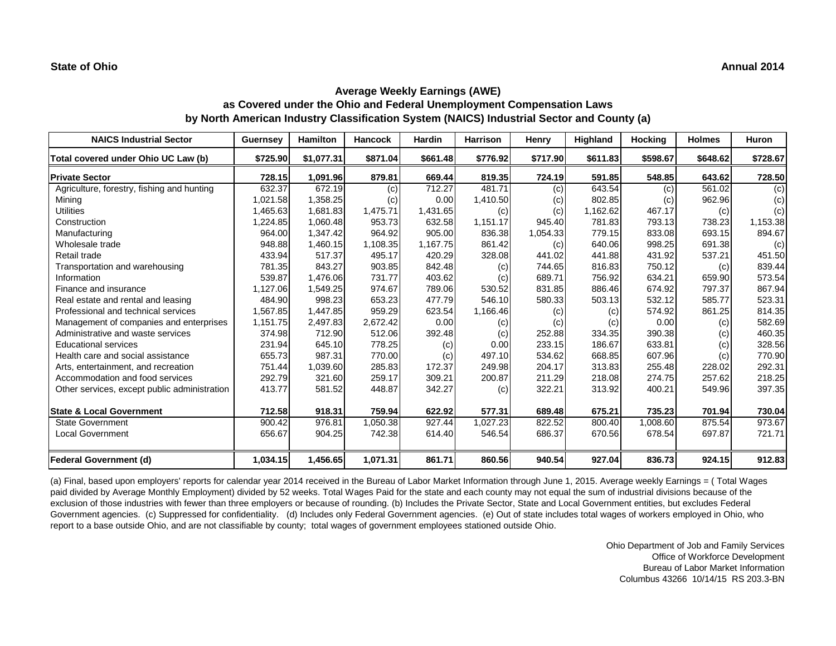| <b>NAICS Industrial Sector</b>               | <b>Guernsey</b> | Hamilton   | <b>Hancock</b> | Hardin   | <b>Harrison</b> | Henry    | <b>Highland</b> | <b>Hocking</b> | <b>Holmes</b> | <b>Huron</b> |
|----------------------------------------------|-----------------|------------|----------------|----------|-----------------|----------|-----------------|----------------|---------------|--------------|
| Total covered under Ohio UC Law (b)          | \$725.90        | \$1,077.31 | \$871.04       | \$661.48 | \$776.92        | \$717.90 | \$611.83        | \$598.67       | \$648.62      | \$728.67     |
| <b>Private Sector</b>                        | 728.15          | 1,091.96   | 879.81         | 669.44   | 819.35          | 724.19   | 591.85          | 548.85         | 643.62        | 728.50       |
| Agriculture, forestry, fishing and hunting   | 632.37          | 672.19     | (c)            | 712.27   | 481.71          | (c)      | 643.54          | (c)            | 561.02        | (c)          |
| Mining                                       | 1,021.58        | 1,358.25   | (c)            | 0.00     | 1,410.50        | (c)      | 802.85          | (c)            | 962.96        | (c)          |
| <b>Utilities</b>                             | 1,465.63        | 1,681.83   | 1,475.71       | 1,431.65 | (c)             | (c)      | 1,162.62        | 467.17         | (c)           | (c)          |
| Construction                                 | 1,224.85        | 1,060.48   | 953.73         | 632.58   | 1,151.17        | 945.40   | 781.83          | 793.13         | 738.23        | 1,153.38     |
| Manufacturing                                | 964.00          | 1,347.42   | 964.92         | 905.00   | 836.38          | 1,054.33 | 779.15          | 833.08         | 693.15        | 894.67       |
| Wholesale trade                              | 948.88          | 1,460.15   | 1,108.35       | 1,167.75 | 861.42          | (c)      | 640.06          | 998.25         | 691.38        | (c)          |
| Retail trade                                 | 433.94          | 517.37     | 495.17         | 420.29   | 328.08          | 441.02   | 441.88          | 431.92         | 537.21        | 451.50       |
| Transportation and warehousing               | 781.35          | 843.27     | 903.85         | 842.48   | (c)             | 744.65   | 816.83          | 750.12         | (c)           | 839.44       |
| Information                                  | 539.87          | 1.476.06   | 731.77         | 403.62   | (c)             | 689.71   | 756.92          | 634.21         | 659.90        | 573.54       |
| Finance and insurance                        | 1,127.06        | 1,549.25   | 974.67         | 789.06   | 530.52          | 831.85   | 886.46          | 674.92         | 797.37        | 867.94       |
| Real estate and rental and leasing           | 484.90          | 998.23     | 653.23         | 477.79   | 546.10          | 580.33   | 503.13          | 532.12         | 585.77        | 523.31       |
| Professional and technical services          | 1,567.85        | 1,447.85   | 959.29         | 623.54   | 1,166.46        | (c)      | (c)             | 574.92         | 861.25        | 814.35       |
| Management of companies and enterprises      | 1,151.75        | 2,497.83   | 2,672.42       | 0.00     | (c)             | (c)      | (c)             | 0.00           | (c)           | 582.69       |
| Administrative and waste services            | 374.98          | 712.90     | 512.06         | 392.48   | (c)             | 252.88   | 334.35          | 390.38         | (c)           | 460.35       |
| <b>Educational services</b>                  | 231.94          | 645.10     | 778.25         | (c)      | 0.00            | 233.15   | 186.67          | 633.81         | (c)           | 328.56       |
| Health care and social assistance            | 655.73          | 987.31     | 770.00         | (c)      | 497.10          | 534.62   | 668.85          | 607.96         | (c)           | 770.90       |
| Arts, entertainment, and recreation          | 751.44          | 1,039.60   | 285.83         | 172.37   | 249.98          | 204.17   | 313.83          | 255.48         | 228.02        | 292.31       |
| Accommodation and food services              | 292.79          | 321.60     | 259.17         | 309.21   | 200.87          | 211.29   | 218.08          | 274.75         | 257.62        | 218.25       |
| Other services, except public administration | 413.77          | 581.52     | 448.87         | 342.27   | (c)             | 322.21   | 313.92          | 400.21         | 549.96        | 397.35       |
| <b>State &amp; Local Government</b>          | 712.58          | 918.31     | 759.94         | 622.92   | 577.31          | 689.48   | 675.21          | 735.23         | 701.94        | 730.04       |
| <b>State Government</b>                      | 900.42          | 976.81     | 1,050.38       | 927.44   | 1,027.23        | 822.52   | 800.40          | 1,008.60       | 875.54        | 973.67       |
| <b>Local Government</b>                      | 656.67          | 904.25     | 742.38         | 614.40   | 546.54          | 686.37   | 670.56          | 678.54         | 697.87        | 721.71       |
| <b>Federal Government (d)</b>                | 1,034.15        | 1,456.65   | 1,071.31       | 861.71   | 860.56          | 940.54   | 927.04          | 836.73         | 924.15        | 912.83       |

(a) Final, based upon employers' reports for calendar year 2014 received in the Bureau of Labor Market Information through June 1, 2015. Average weekly Earnings = ( Total Wages paid divided by Average Monthly Employment) divided by 52 weeks. Total Wages Paid for the state and each county may not equal the sum of industrial divisions because of the exclusion of those industries with fewer than three employers or because of rounding. (b) Includes the Private Sector, State and Local Government entities, but excludes Federal Government agencies. (c) Suppressed for confidentiality. (d) Includes only Federal Government agencies. (e) Out of state includes total wages of workers employed in Ohio, who report to a base outside Ohio, and are not classifiable by county; total wages of government employees stationed outside Ohio.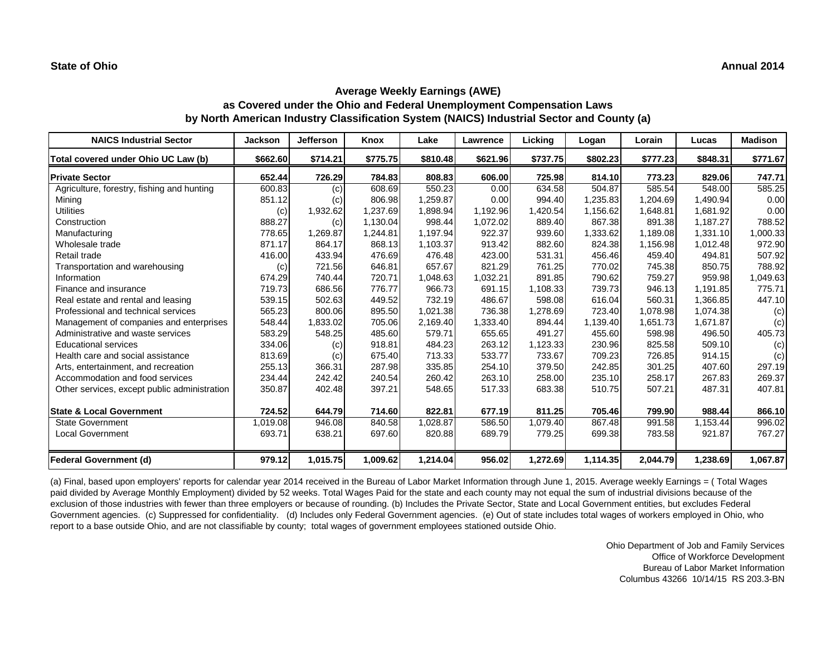| <b>NAICS Industrial Sector</b>               | <b>Jackson</b> | <b>Jefferson</b> | Knox     | Lake     | Lawrence | Licking  | Logan    | Lorain   | Lucas    | <b>Madison</b> |
|----------------------------------------------|----------------|------------------|----------|----------|----------|----------|----------|----------|----------|----------------|
| Total covered under Ohio UC Law (b)          | \$662.60       | \$714.21         | \$775.75 | \$810.48 | \$621.96 | \$737.75 | \$802.23 | \$777.23 | \$848.31 | \$771.67       |
| <b>Private Sector</b>                        | 652.44         | 726.29           | 784.83   | 808.83   | 606.00   | 725.98   | 814.10   | 773.23   | 829.06   | 747.71         |
| Agriculture, forestry, fishing and hunting   | 600.83         | (c)              | 608.69   | 550.23   | 0.00     | 634.58   | 504.87   | 585.54   | 548.00   | 585.25         |
| Mining                                       | 851.12         | (c)              | 806.98   | 1,259.87 | 0.00     | 994.40   | 1,235.83 | 1,204.69 | 1,490.94 | 0.00           |
| <b>Utilities</b>                             | (c)            | 1,932.62         | 1,237.69 | 1,898.94 | 1,192.96 | 1,420.54 | 1,156.62 | 1,648.81 | 1,681.92 | 0.00           |
| Construction                                 | 888.27         | (c)              | 1,130.04 | 998.44   | 1,072.02 | 889.40   | 867.38   | 891.38   | 1,187.27 | 788.52         |
| Manufacturing                                | 778.65         | 1,269.87         | 1,244.81 | 1,197.94 | 922.37   | 939.60   | 1,333.62 | 1,189.08 | 1,331.10 | 1,000.33       |
| Wholesale trade                              | 871.17         | 864.17           | 868.13   | 1,103.37 | 913.42   | 882.60   | 824.38   | 1,156.98 | 1,012.48 | 972.90         |
| Retail trade                                 | 416.00         | 433.94           | 476.69   | 476.48   | 423.00   | 531.31   | 456.46   | 459.40   | 494.81   | 507.92         |
| Transportation and warehousing               | (c)            | 721.56           | 646.81   | 657.67   | 821.29   | 761.25   | 770.02   | 745.38   | 850.75   | 788.92         |
| Information                                  | 674.29         | 740.44           | 720.71   | 1,048.63 | 1,032.21 | 891.85   | 790.62   | 759.27   | 959.98   | 1,049.63       |
| Finance and insurance                        | 719.73         | 686.56           | 776.77   | 966.73   | 691.15   | 1,108.33 | 739.73   | 946.13   | 1,191.85 | 775.71         |
| Real estate and rental and leasing           | 539.15         | 502.63           | 449.52   | 732.19   | 486.67   | 598.08   | 616.04   | 560.31   | 1,366.85 | 447.10         |
| Professional and technical services          | 565.23         | 800.06           | 895.50   | 1,021.38 | 736.38   | 1,278.69 | 723.40   | 1.078.98 | 1,074.38 | (c)            |
| Management of companies and enterprises      | 548.44         | 1,833.02         | 705.06   | 2,169.40 | 1,333.40 | 894.44   | 1,139.40 | 1.651.73 | 1,671.87 | (c)            |
| Administrative and waste services            | 583.29         | 548.25           | 485.60   | 579.71   | 655.65   | 491.27   | 455.60   | 598.98   | 496.50   | 405.73         |
| <b>Educational services</b>                  | 334.06         | (c)              | 918.81   | 484.23   | 263.12   | 1,123.33 | 230.96   | 825.58   | 509.10   | (c)            |
| Health care and social assistance            | 813.69         | (c)              | 675.40   | 713.33   | 533.77   | 733.67   | 709.23   | 726.85   | 914.15   | (c)            |
| Arts, entertainment, and recreation          | 255.13         | 366.31           | 287.98   | 335.85   | 254.10   | 379.50   | 242.85   | 301.25   | 407.60   | 297.19         |
| Accommodation and food services              | 234.44         | 242.42           | 240.54   | 260.42   | 263.10   | 258.00   | 235.10   | 258.17   | 267.83   | 269.37         |
| Other services, except public administration | 350.87         | 402.48           | 397.21   | 548.65   | 517.33   | 683.38   | 510.75   | 507.21   | 487.31   | 407.81         |
| <b>State &amp; Local Government</b>          | 724.52         | 644.79           | 714.60   | 822.81   | 677.19   | 811.25   | 705.46   | 799.90   | 988.44   | 866.10         |
| <b>State Government</b>                      | 1,019.08       | 946.08           | 840.58   | 1,028.87 | 586.50   | 1,079.40 | 867.48   | 991.58   | 1,153.44 | 996.02         |
| <b>Local Government</b>                      | 693.71         | 638.21           | 697.60   | 820.88   | 689.79   | 779.25   | 699.38   | 783.58   | 921.87   | 767.27         |
| <b>Federal Government (d)</b>                | 979.12         | 1,015.75         | 1,009.62 | 1,214.04 | 956.02   | 1,272.69 | 1,114.35 | 2,044.79 | 1,238.69 | 1,067.87       |

(a) Final, based upon employers' reports for calendar year 2014 received in the Bureau of Labor Market Information through June 1, 2015. Average weekly Earnings = ( Total Wages paid divided by Average Monthly Employment) divided by 52 weeks. Total Wages Paid for the state and each county may not equal the sum of industrial divisions because of the exclusion of those industries with fewer than three employers or because of rounding. (b) Includes the Private Sector, State and Local Government entities, but excludes Federal Government agencies. (c) Suppressed for confidentiality. (d) Includes only Federal Government agencies. (e) Out of state includes total wages of workers employed in Ohio, who report to a base outside Ohio, and are not classifiable by county; total wages of government employees stationed outside Ohio.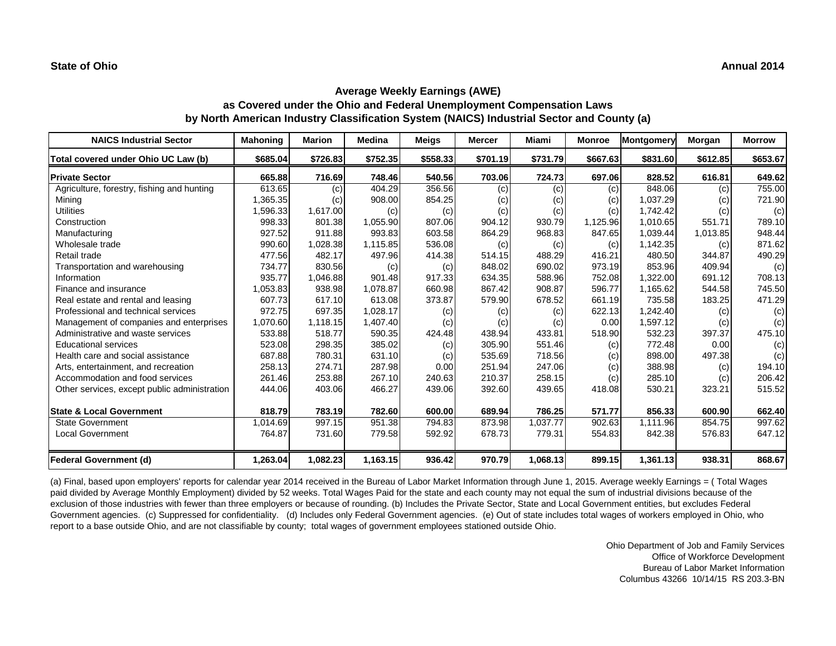| <b>NAICS Industrial Sector</b>               | <b>Mahoning</b> | Marion   | <b>Medina</b> | Meigs    | Mercer   | Miami    | <b>Monroe</b> | <b>Montgomery</b> | Morgan   | <b>Morrow</b> |
|----------------------------------------------|-----------------|----------|---------------|----------|----------|----------|---------------|-------------------|----------|---------------|
| Total covered under Ohio UC Law (b)          | \$685.04        | \$726.83 | \$752.35      | \$558.33 | \$701.19 | \$731.79 | \$667.63      | \$831.60          | \$612.85 | \$653.67      |
| <b>Private Sector</b>                        | 665.88          | 716.69   | 748.46        | 540.56   | 703.06   | 724.73   | 697.06        | 828.52            | 616.81   | 649.62        |
| Agriculture, forestry, fishing and hunting   | 613.65          | (c)      | 404.29        | 356.56   | (c)      | (c)      | (c)           | 848.06            | (c)      | 755.00        |
| Mining                                       | 1,365.35        | (c)      | 908.00        | 854.25   | (c)      | (c)      | (c)           | 1,037.29          | (c)      | 721.90        |
| <b>Utilities</b>                             | 1,596.33        | 1,617.00 | (c)           | (c)      | (c)      | (c)      | (c)           | 1.742.42          | (c)      | (c)           |
| Construction                                 | 998.33          | 801.38   | 1,055.90      | 807.06   | 904.12   | 930.79   | 1,125.96      | 1,010.65          | 551.71   | 789.10        |
| Manufacturing                                | 927.52          | 911.88   | 993.83        | 603.58   | 864.29   | 968.83   | 847.65        | 1,039.44          | 1,013.85 | 948.44        |
| Wholesale trade                              | 990.60          | 1,028.38 | 1,115.85      | 536.08   | (c)      | (c)      | (c)           | 1,142.35          | (c)      | 871.62        |
| Retail trade                                 | 477.56          | 482.17   | 497.96        | 414.38   | 514.15   | 488.29   | 416.21        | 480.50            | 344.87   | 490.29        |
| Transportation and warehousing               | 734.77          | 830.56   | (c)           | (c)      | 848.02   | 690.02   | 973.19        | 853.96            | 409.94   | (c)           |
| Information                                  | 935.77          | 1,046.88 | 901.48        | 917.33   | 634.35   | 588.96   | 752.08        | 1,322.00          | 691.12   | 708.13        |
| Finance and insurance                        | 1,053.83        | 938.98   | 1.078.87      | 660.98   | 867.42   | 908.87   | 596.77        | 1.165.62          | 544.58   | 745.50        |
| Real estate and rental and leasing           | 607.73          | 617.10   | 613.08        | 373.87   | 579.90   | 678.52   | 661.19        | 735.58            | 183.25   | 471.29        |
| Professional and technical services          | 972.75          | 697.35   | 1,028.17      | (c)      | (c)      | (c)      | 622.13        | 1,242.40          | (c)      | (c)           |
| Management of companies and enterprises      | 1,070.60        | 1,118.15 | 1,407.40      | (c)      | (c)      | (c)      | 0.00          | 1.597.12          | (c)      | (c)           |
| Administrative and waste services            | 533.88          | 518.77   | 590.35        | 424.48   | 438.94   | 433.81   | 518.90        | 532.23            | 397.37   | 475.10        |
| <b>Educational services</b>                  | 523.08          | 298.35   | 385.02        | (c)      | 305.90   | 551.46   | (c)           | 772.48            | 0.00     | (c)           |
| Health care and social assistance            | 687.88          | 780.31   | 631.10        | (c)      | 535.69   | 718.56   | (c)           | 898.00            | 497.38   | (c)           |
| Arts, entertainment, and recreation          | 258.13          | 274.71   | 287.98        | 0.00     | 251.94   | 247.06   | (c)           | 388.98            | (c)      | 194.10        |
| Accommodation and food services              | 261.46          | 253.88   | 267.10        | 240.63   | 210.37   | 258.15   | (c)           | 285.10            | (c)      | 206.42        |
| Other services, except public administration | 444.06          | 403.06   | 466.27        | 439.06   | 392.60   | 439.65   | 418.08        | 530.21            | 323.21   | 515.52        |
| <b>State &amp; Local Government</b>          | 818.79          | 783.19   | 782.60        | 600.00   | 689.94   | 786.25   | 571.77        | 856.33            | 600.90   | 662.40        |
| <b>State Government</b>                      | 1.014.69        | 997.15   | 951.38        | 794.83   | 873.98   | 1,037.77 | 902.63        | 1.111.96          | 854.75   | 997.62        |
| <b>Local Government</b>                      | 764.87          | 731.60   | 779.58        | 592.92   | 678.73   | 779.31   | 554.83        | 842.38            | 576.83   | 647.12        |
| <b>Federal Government (d)</b>                | 1,263.04        | 1,082.23 | 1,163.15      | 936.42   | 970.79   | 1,068.13 | 899.15        | 1,361.13          | 938.31   | 868.67        |

(a) Final, based upon employers' reports for calendar year 2014 received in the Bureau of Labor Market Information through June 1, 2015. Average weekly Earnings = ( Total Wages paid divided by Average Monthly Employment) divided by 52 weeks. Total Wages Paid for the state and each county may not equal the sum of industrial divisions because of the exclusion of those industries with fewer than three employers or because of rounding. (b) Includes the Private Sector, State and Local Government entities, but excludes Federal Government agencies. (c) Suppressed for confidentiality. (d) Includes only Federal Government agencies. (e) Out of state includes total wages of workers employed in Ohio, who report to a base outside Ohio, and are not classifiable by county; total wages of government employees stationed outside Ohio.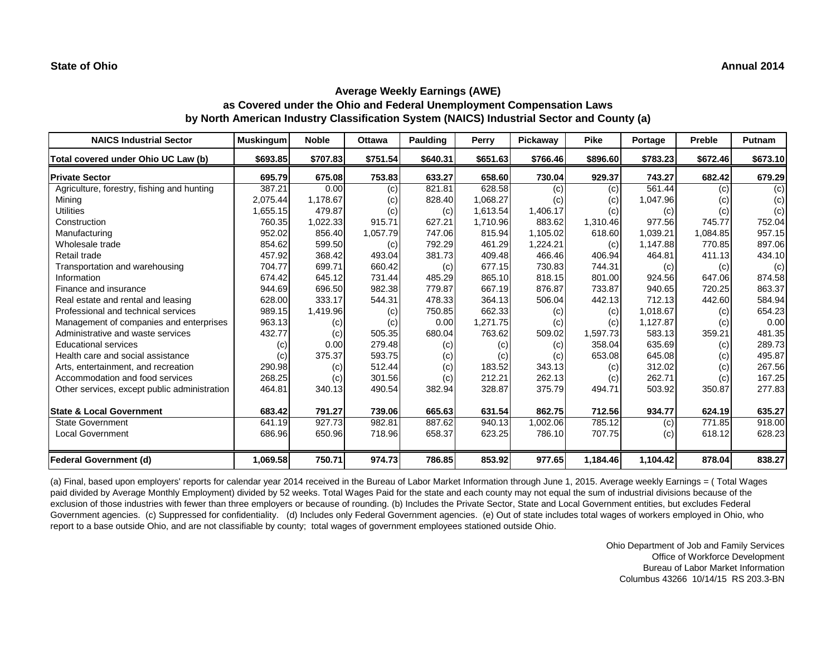| <b>NAICS Industrial Sector</b>               | <b>Muskingum</b> | <b>Noble</b> | <b>Ottawa</b> | <b>Paulding</b> | Perry    | Pickaway | <b>Pike</b> | Portage  | Preble   | Putnam   |
|----------------------------------------------|------------------|--------------|---------------|-----------------|----------|----------|-------------|----------|----------|----------|
| Total covered under Ohio UC Law (b)          | \$693.85         | \$707.83     | \$751.54      | \$640.31        | \$651.63 | \$766.46 | \$896.60    | \$783.23 | \$672.46 | \$673.10 |
| <b>Private Sector</b>                        | 695.79           | 675.08       | 753.83        | 633.27          | 658.60   | 730.04   | 929.37      | 743.27   | 682.42   | 679.29   |
| Agriculture, forestry, fishing and hunting   | 387.21           | 0.00         | (c)           | 821.81          | 628.58   | (c)      | (c)         | 561.44   | (c)      | (c)      |
| Mining                                       | 2,075.44         | 1,178.67     | (c)           | 828.40          | 1,068.27 | (c)      | (c)         | 1,047.96 | (c)      | (c)      |
| <b>Utilities</b>                             | 1,655.15         | 479.87       | (c)           | (c)             | 1,613.54 | 1,406.17 | (c)         | (c)      | (c)      | (c)      |
| Construction                                 | 760.35           | 1,022.33     | 915.71        | 627.21          | 1,710.96 | 883.62   | 1,310.46    | 977.56   | 745.77   | 752.04   |
| Manufacturing                                | 952.02           | 856.40       | 1,057.79      | 747.06          | 815.94   | 1,105.02 | 618.60      | 1,039.21 | 1,084.85 | 957.15   |
| Wholesale trade                              | 854.62           | 599.50       | (c)           | 792.29          | 461.29   | 1,224.21 | (c)         | 1,147.88 | 770.85   | 897.06   |
| Retail trade                                 | 457.92           | 368.42       | 493.04        | 381.73          | 409.48   | 466.46   | 406.94      | 464.81   | 411.13   | 434.10   |
| Transportation and warehousing               | 704.77           | 699.71       | 660.42        | (c)             | 677.15   | 730.83   | 744.31      | (c)      | (c)      | (c)      |
| Information                                  | 674.42           | 645.12       | 731.44        | 485.29          | 865.10   | 818.15   | 801.00      | 924.56   | 647.06   | 874.58   |
| Finance and insurance                        | 944.69           | 696.50       | 982.38        | 779.87          | 667.19   | 876.87   | 733.87      | 940.65   | 720.25   | 863.37   |
| Real estate and rental and leasing           | 628.00           | 333.17       | 544.31        | 478.33          | 364.13   | 506.04   | 442.13      | 712.13   | 442.60   | 584.94   |
| Professional and technical services          | 989.15           | 1,419.96     | (c)           | 750.85          | 662.33   | (c)      | (c)         | 1.018.67 | (c)      | 654.23   |
| Management of companies and enterprises      | 963.13           | (c)          | (c)           | 0.00            | 1,271.75 | (c)      | (c)         | 1,127.87 | (c)      | 0.00     |
| Administrative and waste services            | 432.77           | (c)          | 505.35        | 680.04          | 763.62   | 509.02   | 1,597.73    | 583.13   | 359.21   | 481.35   |
| <b>Educational services</b>                  | (c)              | 0.00         | 279.48        | (c)             | (c)      | (c)      | 358.04      | 635.69   | (c)      | 289.73   |
| Health care and social assistance            | (c)              | 375.37       | 593.75        | (c)             | (c)      | (c)      | 653.08      | 645.08   | (c)      | 495.87   |
| Arts, entertainment, and recreation          | 290.98           | (c)          | 512.44        | (c)             | 183.52   | 343.13   | (c)         | 312.02   | (c)      | 267.56   |
| Accommodation and food services              | 268.25           | (c)          | 301.56        | (c)             | 212.21   | 262.13   | (c)         | 262.71   | (c)      | 167.25   |
| Other services, except public administration | 464.81           | 340.13       | 490.54        | 382.94          | 328.87   | 375.79   | 494.71      | 503.92   | 350.87   | 277.83   |
| <b>State &amp; Local Government</b>          | 683.42           | 791.27       | 739.06        | 665.63          | 631.54   | 862.75   | 712.56      | 934.77   | 624.19   | 635.27   |
| <b>State Government</b>                      | 641.19           | 927.73       | 982.81        | 887.62          | 940.13   | 1,002.06 | 785.12      | (c)      | 771.85   | 918.00   |
| <b>Local Government</b>                      | 686.96           | 650.96       | 718.96        | 658.37          | 623.25   | 786.10   | 707.75      | (c)      | 618.12   | 628.23   |
| <b>Federal Government (d)</b>                | 1,069.58         | 750.71       | 974.73        | 786.85          | 853.92   | 977.65   | 1,184.46    | 1,104.42 | 878.04   | 838.27   |

(a) Final, based upon employers' reports for calendar year 2014 received in the Bureau of Labor Market Information through June 1, 2015. Average weekly Earnings = ( Total Wages paid divided by Average Monthly Employment) divided by 52 weeks. Total Wages Paid for the state and each county may not equal the sum of industrial divisions because of the exclusion of those industries with fewer than three employers or because of rounding. (b) Includes the Private Sector, State and Local Government entities, but excludes Federal Government agencies. (c) Suppressed for confidentiality. (d) Includes only Federal Government agencies. (e) Out of state includes total wages of workers employed in Ohio, who report to a base outside Ohio, and are not classifiable by county; total wages of government employees stationed outside Ohio.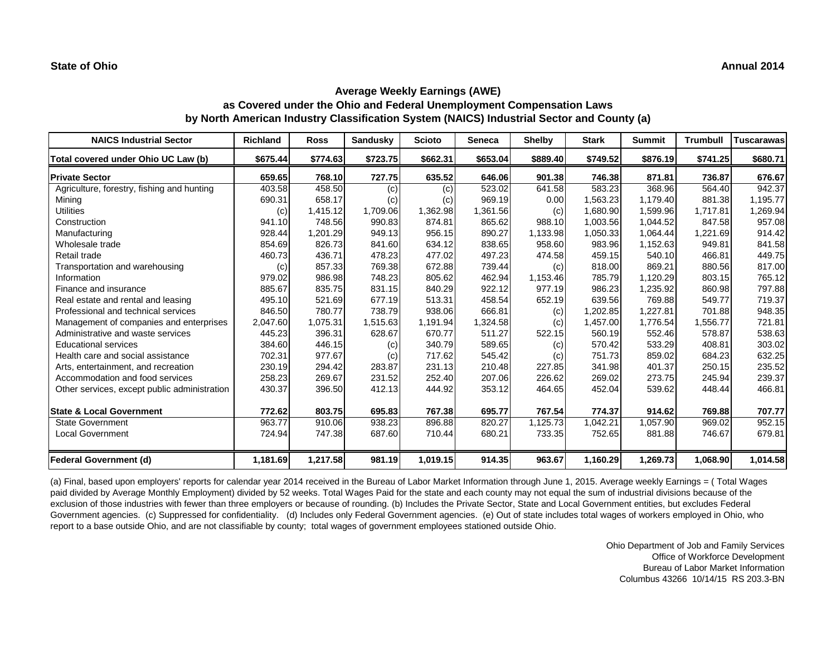| <b>NAICS Industrial Sector</b>               | <b>Richland</b> | <b>Ross</b> | <b>Sandusky</b> | <b>Scioto</b> | <b>Seneca</b> | <b>Shelby</b> | <b>Stark</b> | <b>Summit</b> | <b>Trumbull</b> | <b>Tuscarawas</b> |
|----------------------------------------------|-----------------|-------------|-----------------|---------------|---------------|---------------|--------------|---------------|-----------------|-------------------|
| Total covered under Ohio UC Law (b)          | \$675.44        | \$774.63    | \$723.75        | \$662.31      | \$653.04      | \$889.40      | \$749.52     | \$876.19      | \$741.25        | \$680.71          |
| <b>Private Sector</b>                        | 659.65          | 768.10      | 727.75          | 635.52        | 646.06        | 901.38        | 746.38       | 871.81        | 736.87          | 676.67            |
| Agriculture, forestry, fishing and hunting   | 403.58          | 458.50      | (c)             | (c)           | 523.02        | 641.58        | 583.23       | 368.96        | 564.40          | 942.37            |
| Mining                                       | 690.31          | 658.17      | (c)             | (c)           | 969.19        | 0.00          | 1,563.23     | 1,179.40      | 881.38          | 1,195.77          |
| <b>Utilities</b>                             | (c)             | 1,415.12    | 1,709.06        | 1,362.98      | 1,361.56      | (c)           | 1,680.90     | 1,599.96      | 1,717.81        | 1,269.94          |
| Construction                                 | 941.10          | 748.56      | 990.83          | 874.81        | 865.62        | 988.10        | 1,003.56     | 1.044.52      | 847.58          | 957.08            |
| Manufacturing                                | 928.44          | 1,201.29    | 949.13          | 956.15        | 890.27        | 1,133.98      | 1,050.33     | 1.064.44      | 1,221.69        | 914.42            |
| Wholesale trade                              | 854.69          | 826.73      | 841.60          | 634.12        | 838.65        | 958.60        | 983.96       | 1,152.63      | 949.81          | 841.58            |
| Retail trade                                 | 460.73          | 436.71      | 478.23          | 477.02        | 497.23        | 474.58        | 459.15       | 540.10        | 466.81          | 449.75            |
| Transportation and warehousing               | (c)             | 857.33      | 769.38          | 672.88        | 739.44        | (c)           | 818.00       | 869.21        | 880.56          | 817.00            |
| Information                                  | 979.02          | 986.98      | 748.23          | 805.62        | 462.94        | 1,153.46      | 785.79       | 1.120.29      | 803.15          | 765.12            |
| Finance and insurance                        | 885.67          | 835.75      | 831.15          | 840.29        | 922.12        | 977.19        | 986.23       | 1,235.92      | 860.98          | 797.88            |
| Real estate and rental and leasing           | 495.10          | 521.69      | 677.19          | 513.31        | 458.54        | 652.19        | 639.56       | 769.88        | 549.77          | 719.37            |
| Professional and technical services          | 846.50          | 780.77      | 738.79          | 938.06        | 666.81        | (c)           | 1,202.85     | 1,227.81      | 701.88          | 948.35            |
| Management of companies and enterprises      | 2,047.60        | 1,075.31    | 1,515.63        | 1,191.94      | 1,324.58      | (c)           | 1,457.00     | 1,776.54      | 1,556.77        | 721.81            |
| Administrative and waste services            | 445.23          | 396.31      | 628.67          | 670.77        | 511.27        | 522.15        | 560.19       | 552.46        | 578.87          | 538.63            |
| <b>Educational services</b>                  | 384.60          | 446.15      | (c)             | 340.79        | 589.65        | (c)           | 570.42       | 533.29        | 408.81          | 303.02            |
| Health care and social assistance            | 702.31          | 977.67      | (c)             | 717.62        | 545.42        | (c)           | 751.73       | 859.02        | 684.23          | 632.25            |
| Arts, entertainment, and recreation          | 230.19          | 294.42      | 283.87          | 231.13        | 210.48        | 227.85        | 341.98       | 401.37        | 250.15          | 235.52            |
| Accommodation and food services              | 258.23          | 269.67      | 231.52          | 252.40        | 207.06        | 226.62        | 269.02       | 273.75        | 245.94          | 239.37            |
| Other services, except public administration | 430.37          | 396.50      | 412.13          | 444.92        | 353.12        | 464.65        | 452.04       | 539.62        | 448.44          | 466.81            |
| <b>State &amp; Local Government</b>          | 772.62          | 803.75      | 695.83          | 767.38        | 695.77        | 767.54        | 774.37       | 914.62        | 769.88          | 707.77            |
| <b>State Government</b>                      | 963.77          | 910.06      | 938.23          | 896.88        | 820.27        | 1,125.73      | 1,042.21     | 1,057.90      | 969.02          | 952.15            |
| <b>Local Government</b>                      | 724.94          | 747.38      | 687.60          | 710.44        | 680.21        | 733.35        | 752.65       | 881.88        | 746.67          | 679.81            |
| <b>Federal Government (d)</b>                | 1,181.69        | 1,217.58    | 981.19          | 1,019.15      | 914.35        | 963.67        | 1,160.29     | 1,269.73      | 1,068.90        | 1,014.58          |

(a) Final, based upon employers' reports for calendar year 2014 received in the Bureau of Labor Market Information through June 1, 2015. Average weekly Earnings = ( Total Wages paid divided by Average Monthly Employment) divided by 52 weeks. Total Wages Paid for the state and each county may not equal the sum of industrial divisions because of the exclusion of those industries with fewer than three employers or because of rounding. (b) Includes the Private Sector, State and Local Government entities, but excludes Federal Government agencies. (c) Suppressed for confidentiality. (d) Includes only Federal Government agencies. (e) Out of state includes total wages of workers employed in Ohio, who report to a base outside Ohio, and are not classifiable by county; total wages of government employees stationed outside Ohio.